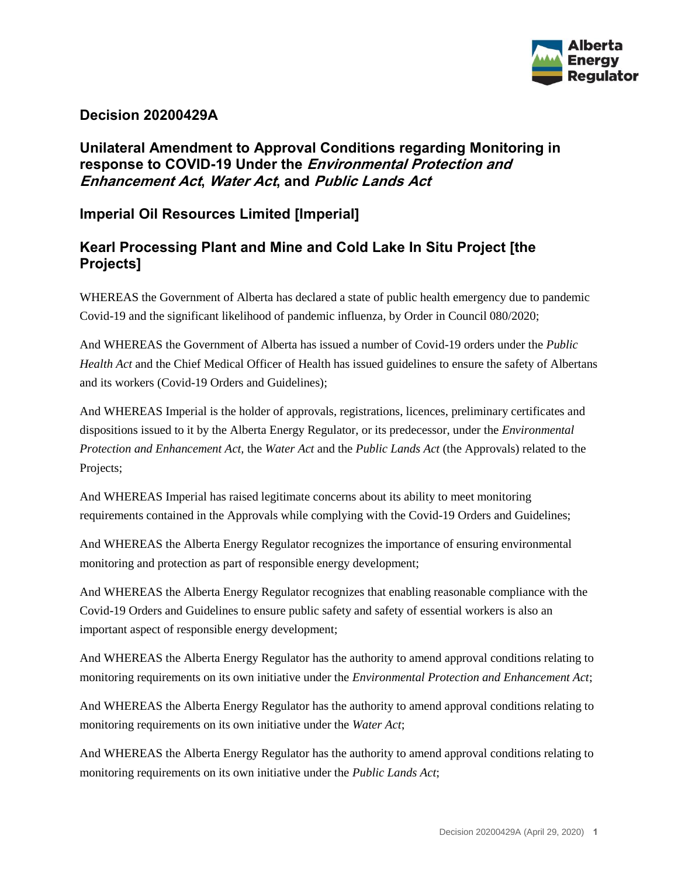

#### **Decision 20200429A**

# **Unilateral Amendment to Approval Conditions regarding Monitoring in response to COVID-19 Under the Environmental Protection and Enhancement Act, Water Act, and Public Lands Act**

# **Imperial Oil Resources Limited [Imperial]**

# **Kearl Processing Plant and Mine and Cold Lake In Situ Project [the Projects]**

WHEREAS the Government of Alberta has declared a state of public health emergency due to pandemic Covid-19 and the significant likelihood of pandemic influenza, by Order in Council 080/2020;

And WHEREAS the Government of Alberta has issued a number of Covid-19 orders under the *Public Health Act* and the Chief Medical Officer of Health has issued guidelines to ensure the safety of Albertans and its workers (Covid-19 Orders and Guidelines);

And WHEREAS Imperial is the holder of approvals, registrations, licences, preliminary certificates and dispositions issued to it by the Alberta Energy Regulator, or its predecessor, under the *Environmental Protection and Enhancement Act,* the *Water Act* and the *Public Lands Act* (the Approvals) related to the Projects;

And WHEREAS Imperial has raised legitimate concerns about its ability to meet monitoring requirements contained in the Approvals while complying with the Covid-19 Orders and Guidelines;

And WHEREAS the Alberta Energy Regulator recognizes the importance of ensuring environmental monitoring and protection as part of responsible energy development;

And WHEREAS the Alberta Energy Regulator recognizes that enabling reasonable compliance with the Covid-19 Orders and Guidelines to ensure public safety and safety of essential workers is also an important aspect of responsible energy development;

And WHEREAS the Alberta Energy Regulator has the authority to amend approval conditions relating to monitoring requirements on its own initiative under the *Environmental Protection and Enhancement Act*;

And WHEREAS the Alberta Energy Regulator has the authority to amend approval conditions relating to monitoring requirements on its own initiative under the *Water Act*;

And WHEREAS the Alberta Energy Regulator has the authority to amend approval conditions relating to monitoring requirements on its own initiative under the *Public Lands Act*;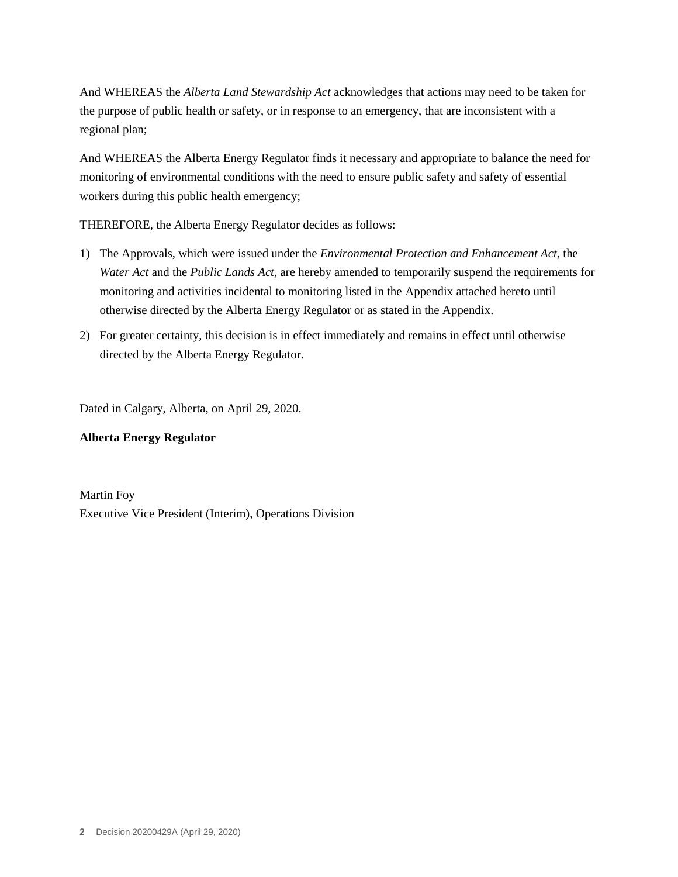And WHEREAS the *Alberta Land Stewardship Act* acknowledges that actions may need to be taken for the purpose of public health or safety, or in response to an emergency, that are inconsistent with a regional plan;

And WHEREAS the Alberta Energy Regulator finds it necessary and appropriate to balance the need for monitoring of environmental conditions with the need to ensure public safety and safety of essential workers during this public health emergency;

THEREFORE, the Alberta Energy Regulator decides as follows:

- 1) The Approvals, which were issued under the *Environmental Protection and Enhancement Act*, the *Water Act* and the *Public Lands Act*, are hereby amended to temporarily suspend the requirements for monitoring and activities incidental to monitoring listed in the Appendix attached hereto until otherwise directed by the Alberta Energy Regulator or as stated in the Appendix.
- 2) For greater certainty, this decision is in effect immediately and remains in effect until otherwise directed by the Alberta Energy Regulator.

Dated in Calgary, Alberta, on April 29, 2020.

#### **Alberta Energy Regulator**

Martin Foy Executive Vice President (Interim), Operations Division